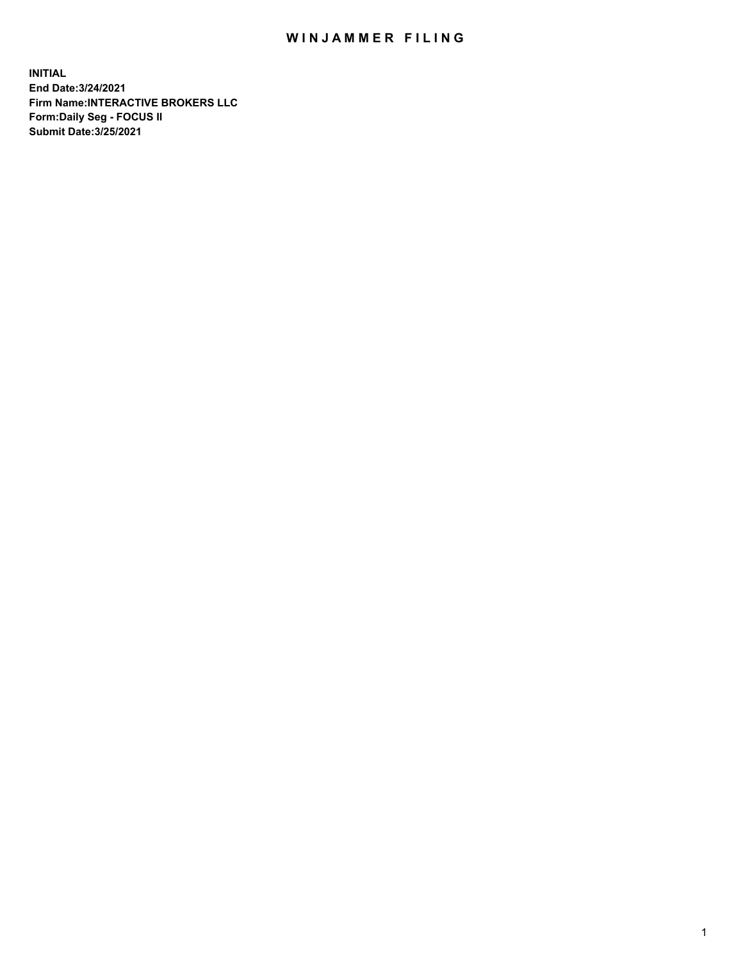## WIN JAMMER FILING

**INITIAL End Date:3/24/2021 Firm Name:INTERACTIVE BROKERS LLC Form:Daily Seg - FOCUS II Submit Date:3/25/2021**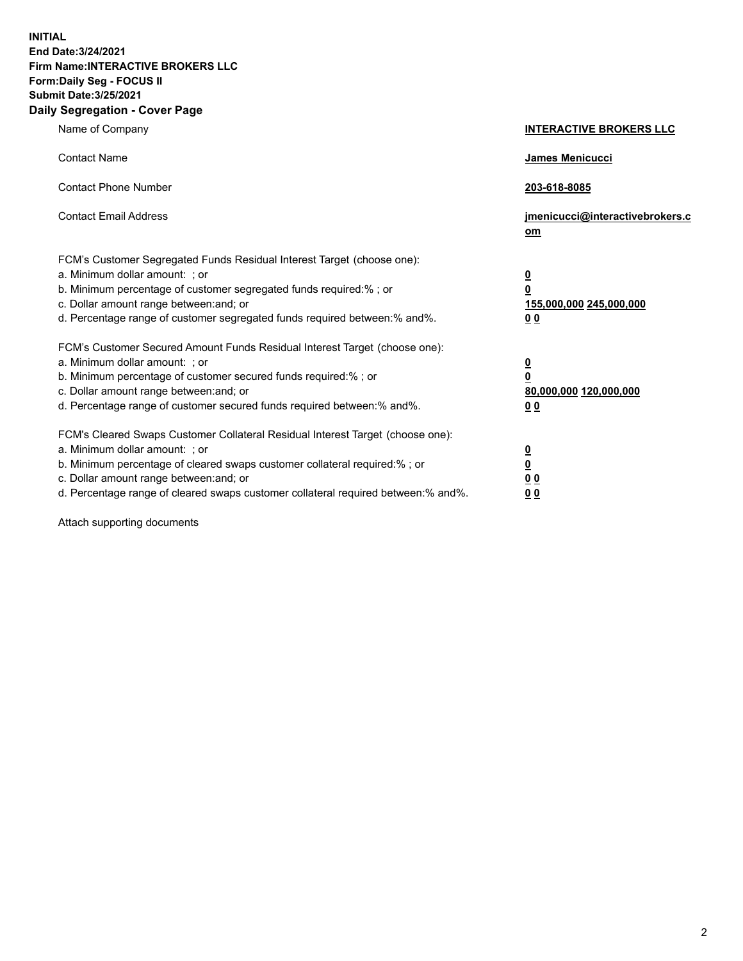**INITIAL End Date:3/24/2021 Firm Name:INTERACTIVE BROKERS LLC Form:Daily Seg - FOCUS II Submit Date:3/25/2021 Daily Segregation - Cover Page**

| Name of Company                                                                                                                                                                                                                                                                                                                | <b>INTERACTIVE BROKERS LLC</b>                                                   |  |
|--------------------------------------------------------------------------------------------------------------------------------------------------------------------------------------------------------------------------------------------------------------------------------------------------------------------------------|----------------------------------------------------------------------------------|--|
| <b>Contact Name</b>                                                                                                                                                                                                                                                                                                            | James Menicucci                                                                  |  |
| <b>Contact Phone Number</b>                                                                                                                                                                                                                                                                                                    | 203-618-8085                                                                     |  |
| <b>Contact Email Address</b>                                                                                                                                                                                                                                                                                                   | jmenicucci@interactivebrokers.c<br>om                                            |  |
| FCM's Customer Segregated Funds Residual Interest Target (choose one):<br>a. Minimum dollar amount: ; or<br>b. Minimum percentage of customer segregated funds required:% ; or<br>c. Dollar amount range between: and; or<br>d. Percentage range of customer segregated funds required between:% and%.                         | <u>0</u><br>$\overline{\mathbf{0}}$<br>155,000,000 245,000,000<br>0 <sub>0</sub> |  |
| FCM's Customer Secured Amount Funds Residual Interest Target (choose one):<br>a. Minimum dollar amount: ; or<br>b. Minimum percentage of customer secured funds required:% ; or<br>c. Dollar amount range between: and; or<br>d. Percentage range of customer secured funds required between:% and%.                           | <u>0</u><br>$\overline{\mathbf{0}}$<br>80,000,000 120,000,000<br>0 <sub>0</sub>  |  |
| FCM's Cleared Swaps Customer Collateral Residual Interest Target (choose one):<br>a. Minimum dollar amount: ; or<br>b. Minimum percentage of cleared swaps customer collateral required:% ; or<br>c. Dollar amount range between: and; or<br>d. Percentage range of cleared swaps customer collateral required between:% and%. | <u>0</u><br>$\underline{\mathbf{0}}$<br>0 <sub>0</sub><br>0 <sub>0</sub>         |  |

Attach supporting documents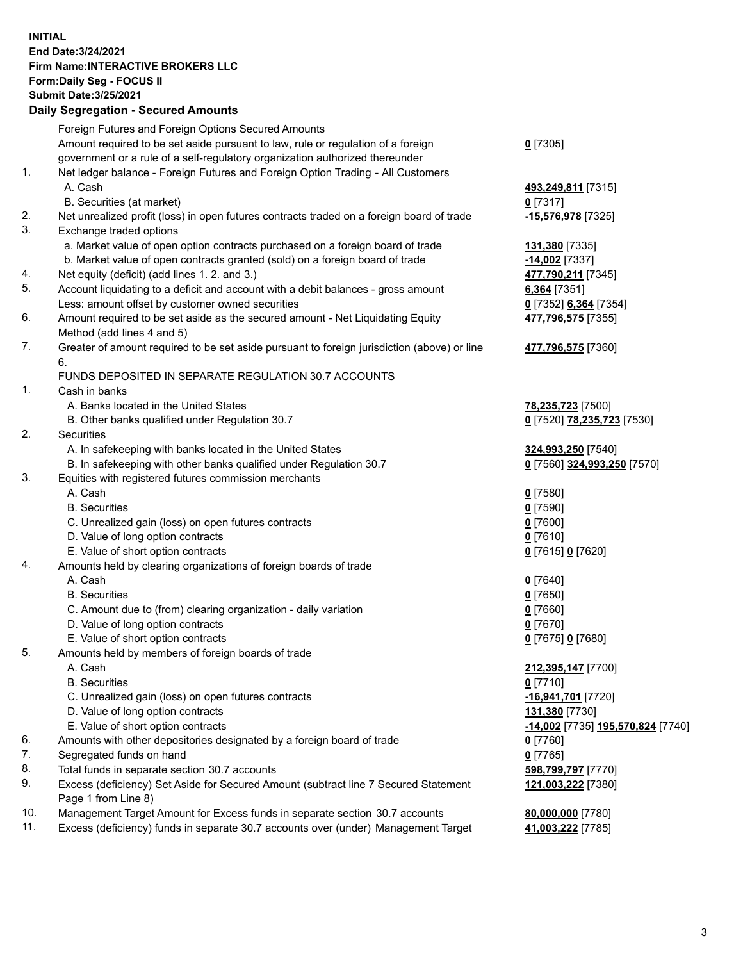**INITIAL End Date:3/24/2021 Firm Name:INTERACTIVE BROKERS LLC Form:Daily Seg - FOCUS II Submit Date:3/25/2021 Daily Segregation - Secured Amounts**

## Foreign Futures and Foreign Options Secured Amounts Amount required to be set aside pursuant to law, rule or regulation of a foreign government or a rule of a self-regulatory organization authorized thereunder **0** [7305] 1. Net ledger balance - Foreign Futures and Foreign Option Trading - All Customers A. Cash **493,249,811** [7315] B. Securities (at market) **0** [7317] 2. Net unrealized profit (loss) in open futures contracts traded on a foreign board of trade **-15,576,978** [7325] 3. Exchange traded options a. Market value of open option contracts purchased on a foreign board of trade **131,380** [7335] b. Market value of open contracts granted (sold) on a foreign board of trade **-14,002** [7337] 4. Net equity (deficit) (add lines 1. 2. and 3.) **477,790,211** [7345] 5. Account liquidating to a deficit and account with a debit balances - gross amount **6,364** [7351] Less: amount offset by customer owned securities **0** [7352] **6,364** [7354] 6. Amount required to be set aside as the secured amount - Net Liquidating Equity Method (add lines 4 and 5) **477,796,575** [7355] 7. Greater of amount required to be set aside pursuant to foreign jurisdiction (above) or line 6. **477,796,575** [7360] FUNDS DEPOSITED IN SEPARATE REGULATION 30.7 ACCOUNTS 1. Cash in banks A. Banks located in the United States **78,235,723** [7500] B. Other banks qualified under Regulation 30.7 **0** [7520] **78,235,723** [7530] 2. Securities A. In safekeeping with banks located in the United States **324,993,250** [7540] B. In safekeeping with other banks qualified under Regulation 30.7 **0** [7560] **324,993,250** [7570] 3. Equities with registered futures commission merchants A. Cash **0** [7580] B. Securities **0** [7590] C. Unrealized gain (loss) on open futures contracts **0** [7600] D. Value of long option contracts **0** [7610] E. Value of short option contracts **0** [7615] **0** [7620] 4. Amounts held by clearing organizations of foreign boards of trade A. Cash **0** [7640] B. Securities **0** [7650] C. Amount due to (from) clearing organization - daily variation **0** [7660] D. Value of long option contracts **0** [7670] E. Value of short option contracts **0** [7675] **0** [7680] 5. Amounts held by members of foreign boards of trade A. Cash **212,395,147** [7700] B. Securities **0** [7710] C. Unrealized gain (loss) on open futures contracts **-16,941,701** [7720] D. Value of long option contracts **131,380** [7730] E. Value of short option contracts **-14,002** [7735] **195,570,824** [7740] 6. Amounts with other depositories designated by a foreign board of trade **0** [7760] 7. Segregated funds on hand **0** [7765] 8. Total funds in separate section 30.7 accounts **598,799,797** [7770] 9. Excess (deficiency) Set Aside for Secured Amount (subtract line 7 Secured Statement Page 1 from Line 8) **121,003,222** [7380] 10. Management Target Amount for Excess funds in separate section 30.7 accounts **80,000,000** [7780] 11. Excess (deficiency) funds in separate 30.7 accounts over (under) Management Target **41,003,222** [7785]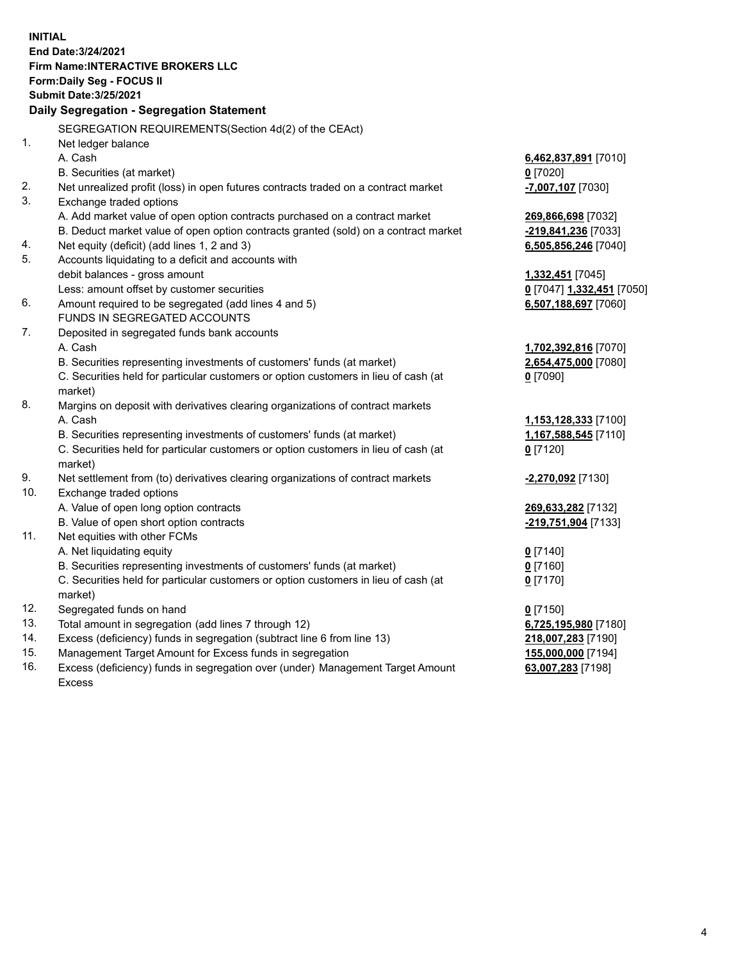**INITIAL End Date:3/24/2021 Firm Name:INTERACTIVE BROKERS LLC Form:Daily Seg - FOCUS II Submit Date:3/25/2021 Daily Segregation - Segregation Statement** SEGREGATION REQUIREMENTS(Section 4d(2) of the CEAct) 1. Net ledger balance A. Cash **6,462,837,891** [7010] B. Securities (at market) **0** [7020] 2. Net unrealized profit (loss) in open futures contracts traded on a contract market **-7,007,107** [7030] 3. Exchange traded options A. Add market value of open option contracts purchased on a contract market **269,866,698** [7032] B. Deduct market value of open option contracts granted (sold) on a contract market **-219,841,236** [7033] 4. Net equity (deficit) (add lines 1, 2 and 3) **6,505,856,246** [7040] 5. Accounts liquidating to a deficit and accounts with debit balances - gross amount **1,332,451** [7045] Less: amount offset by customer securities **0** [7047] **1,332,451** [7050] 6. Amount required to be segregated (add lines 4 and 5) **6,507,188,697** [7060] FUNDS IN SEGREGATED ACCOUNTS 7. Deposited in segregated funds bank accounts A. Cash **1,702,392,816** [7070] B. Securities representing investments of customers' funds (at market) **2,654,475,000** [7080] C. Securities held for particular customers or option customers in lieu of cash (at market) **0** [7090] 8. Margins on deposit with derivatives clearing organizations of contract markets A. Cash **1,153,128,333** [7100] B. Securities representing investments of customers' funds (at market) **1,167,588,545** [7110] C. Securities held for particular customers or option customers in lieu of cash (at market) **0** [7120] 9. Net settlement from (to) derivatives clearing organizations of contract markets **-2,270,092** [7130] 10. Exchange traded options A. Value of open long option contracts **269,633,282** [7132] B. Value of open short option contracts **-219,751,904** [7133] 11. Net equities with other FCMs A. Net liquidating equity **0** [7140] B. Securities representing investments of customers' funds (at market) **0** [7160] C. Securities held for particular customers or option customers in lieu of cash (at market) **0** [7170] 12. Segregated funds on hand **0** [7150] 13. Total amount in segregation (add lines 7 through 12) **6,725,195,980** [7180] 14. Excess (deficiency) funds in segregation (subtract line 6 from line 13) **218,007,283** [7190] 15. Management Target Amount for Excess funds in segregation **155,000,000** [7194] 16. Excess (deficiency) funds in segregation over (under) Management Target Amount **63,007,283** [7198]

Excess